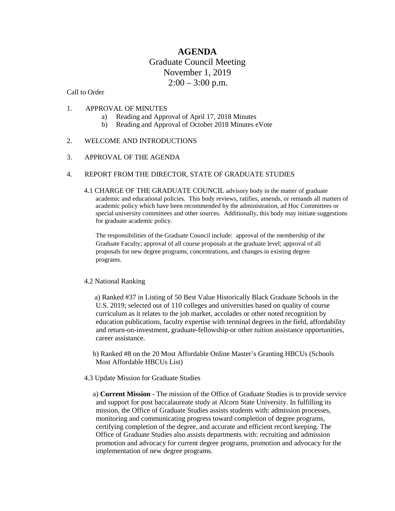# **AGENDA** Graduate Council Meeting November 1, 2019  $2:00 - 3:00$  p.m.

### Call to Order

### 1. APPROVAL OF MINUTES

- a) Reading and Approval of April 17, 2018 Minutes
- b) Reading and Approval of October 2018 Minutes eVote

### 2. WELCOME AND INTRODUCTIONS

#### 3. APPROVAL OF THE AGENDA

### 4. REPORT FROM THE DIRECTOR, STATE OF GRADUATE STUDIES

4.1 CHARGE OF THE GRADUATE COUNCIL advisory body in the matter of graduate academic and educational policies. This body reviews, ratifies, amends, or remands all matters of academic policy which have been recommended by the administration, ad Hoc Committees or special university committees and other sources. Additionally, this body may initiate suggestions for graduate academic policy.

The responsibilities of the Graduate Council include: approval of the membership of the Graduate Faculty; approval of all course proposals at the graduate level; approval of all proposals for new degree programs, concentrations, and changes in existing degree programs.

#### 4.2 National Ranking

a) Ranked #37 in Listing of 50 Best Value Historically Black Graduate Schools in the U.S. 2019; selected out of 110 colleges and universities based on quality of course curriculum as it relates to the job market, accolades or other noted recognition by education publications, faculty expertise with terminal degrees in the field, affordability and return-on-investment, graduate-fellowship-or other tuition assistance opportunities, career assistance.

- b) Ranked #8 on the 20 Most Affordable Online Master's Granting HBCUs (Schools Most Affordable HBCUs List)
- 4.3 Update Mission for Graduate Studies
	- a) **Current Mission** The mission of the Office of Graduate Studies is to provide service and support for post baccalaureate study at Alcorn State University. In fulfilling its mission, the Office of Graduate Studies assists students with: admission processes, monitoring and communicating progress toward completion of degree programs, certifying completion of the degree, and accurate and efficient record keeping. The Office of Graduate Studies also assists departments with: recruiting and admission promotion and advocacy for current degree programs, promotion and advocacy for the implementation of new degree programs.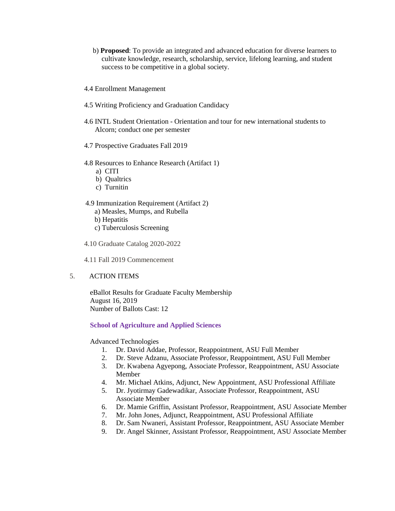- b) **Proposed**: To provide an integrated and advanced education for diverse learners to cultivate knowledge, research, scholarship, service, lifelong learning, and student success to be competitive in a global society.
- 4.4 Enrollment Management
- 4.5 Writing Proficiency and Graduation Candidacy
- 4.6 INTL Student Orientation Orientation and tour for new international students to Alcorn; conduct one per semester
- 4.7 Prospective Graduates Fall 2019
- 4.8 Resources to Enhance Research (Artifact 1)
	- a) CITI
	- b) Qualtrics
	- c) Turnitin
- 4.9 Immunization Requirement (Artifact 2)
	- a) Measles, Mumps, and Rubella
	- b) Hepatitis
	- c) Tuberculosis Screening
- 4.10 Graduate Catalog 2020-2022

4.11 Fall 2019 Commencement

### 5. ACTION ITEMS

eBallot Results for Graduate Faculty Membership August 16, 2019 Number of Ballots Cast: 12

#### **School of Agriculture and Applied Sciences**

Advanced Technologies

- 1. Dr. David Addae, Professor, Reappointment, ASU Full Member
- 2. Dr. Steve Adzanu, Associate Professor, Reappointment, ASU Full Member
- 3. Dr. Kwabena Agyepong, Associate Professor, Reappointment, ASU Associate Member
- 4. Mr. Michael Atkins, Adjunct, New Appointment, ASU Professional Affiliate
- 5. Dr. Jyotirmay Gadewadikar, Associate Professor, Reappointment, ASU Associate Member
- 6. Dr. Mamie Griffin, Assistant Professor, Reappointment, ASU Associate Member
- 7. Mr. John Jones, Adjunct, Reappointment, ASU Professional Affiliate
- 8. Dr. Sam Nwaneri, Assistant Professor, Reappointment, ASU Associate Member
- 9. Dr. Angel Skinner, Assistant Professor, Reappointment, ASU Associate Member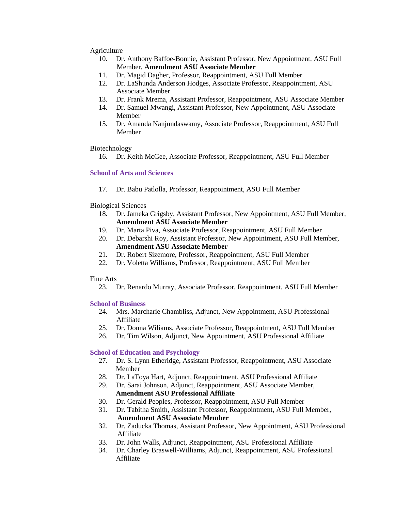### Agriculture

- 10. Dr. Anthony Baffoe-Bonnie, Assistant Professor, New Appointment, ASU Full Member, **Amendment ASU Associate Member**
- 11. Dr. Magid Dagher, Professor, Reappointment, ASU Full Member
- 12. Dr. LaShunda Anderson Hodges, Associate Professor, Reappointment, ASU Associate Member
- 13. Dr. Frank Mrema, Assistant Professor, Reappointment, ASU Associate Member
- 14. Dr. Samuel Mwangi, Assistant Professor, New Appointment, ASU Associate Member
- 15. Dr. Amanda Nanjundaswamy, Associate Professor, Reappointment, ASU Full Member

#### Biotechnology

16. Dr. Keith McGee, Associate Professor, Reappointment, ASU Full Member

### **School of Arts and Sciences**

17. Dr. Babu Patlolla, Professor, Reappointment, ASU Full Member

### Biological Sciences

- 18. Dr. Jameka Grigsby, Assistant Professor, New Appointment, ASU Full Member, **Amendment ASU Associate Member**
- 19. Dr. Marta Piva, Associate Professor, Reappointment, ASU Full Member
- 20. Dr. Debarshi Roy, Assistant Professor, New Appointment, ASU Full Member, **Amendment ASU Associate Member**
- 21. Dr. Robert Sizemore, Professor, Reappointment, ASU Full Member
- 22. Dr. Voletta Williams, Professor, Reappointment, ASU Full Member

#### Fine Arts

23. Dr. Renardo Murray, Associate Professor, Reappointment, ASU Full Member

# **School of Business**

- 24. Mrs. Marcharie Chambliss, Adjunct, New Appointment, ASU Professional Affiliate
- 25. Dr. Donna Wiliams, Associate Professor, Reappointment, ASU Full Member
- 26. Dr. Tim Wilson, Adjunct, New Appointment, ASU Professional Affiliate

# **School of Education and Psychology**

- 27. Dr. S. Lynn Etheridge, Assistant Professor, Reappointment, ASU Associate Member
- 28. Dr. LaToya Hart, Adjunct, Reappointment, ASU Professional Affiliate
- 29. Dr. Sarai Johnson, Adjunct, Reappointment, ASU Associate Member, **Amendment ASU Professional Affiliate**
- 30. Dr. Gerald Peoples, Professor, Reappointment, ASU Full Member
- 31. Dr. Tabitha Smith, Assistant Professor, Reappointment, ASU Full Member, **Amendment ASU Associate Member**
- 32. Dr. Zaducka Thomas, Assistant Professor, New Appointment, ASU Professional Affiliate
- 33. Dr. John Walls, Adjunct, Reappointment, ASU Professional Affiliate
- 34. Dr. Charley Braswell-Williams, Adjunct, Reappointment, ASU Professional Affiliate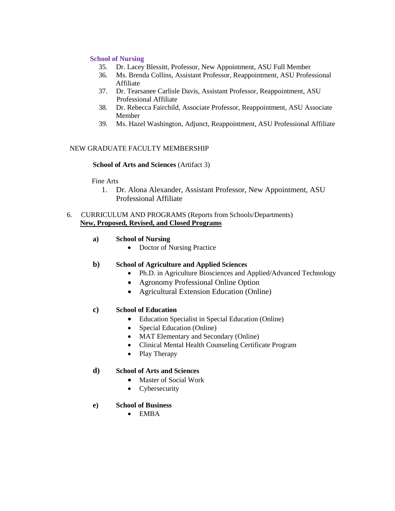# **School of Nursing**

- 35. Dr. Lacey Blessitt, Professor, New Appointment, ASU Full Member
- 36. Ms. Brenda Collins, Assistant Professor, Reappointment, ASU Professional Affiliate
- 37. Dr. Tearsanee Carlisle Davis, Assistant Professor, Reappointment, ASU Professional Affiliate
- 38. Dr. Rebecca Fairchild, Associate Professor, Reappointment, ASU Associate Member
- 39. Ms. Hazel Washington, Adjunct, Reappointment, ASU Professional Affiliate

# NEW GRADUATE FACULTY MEMBERSHIP

# **School of Arts and Sciences** (Artifact 3)

Fine Arts

 1. Dr. Alona Alexander, Assistant Professor, New Appointment, ASU Professional Affiliate

# 6. CURRICULUM AND PROGRAMS (Reports from Schools/Departments) **New, Proposed, Revised, and Closed Programs**

- **a) School of Nursing**
	- Doctor of Nursing Practice

# **b) School of Agriculture and Applied Sciences**

- Ph.D. in Agriculture Biosciences and Applied/Advanced Technology
- Agronomy Professional Online Option
- Agricultural Extension Education (Online)

# **c) School of Education**

- Education Specialist in Special Education (Online)
- Special Education (Online)
- MAT Elementary and Secondary (Online)
- Clinical Mental Health Counseling Certificate Program
- Play Therapy

# **d) School of Arts and Sciences**

- Master of Social Work
- Cybersecurity

# **e) School of Business**

• EMBA